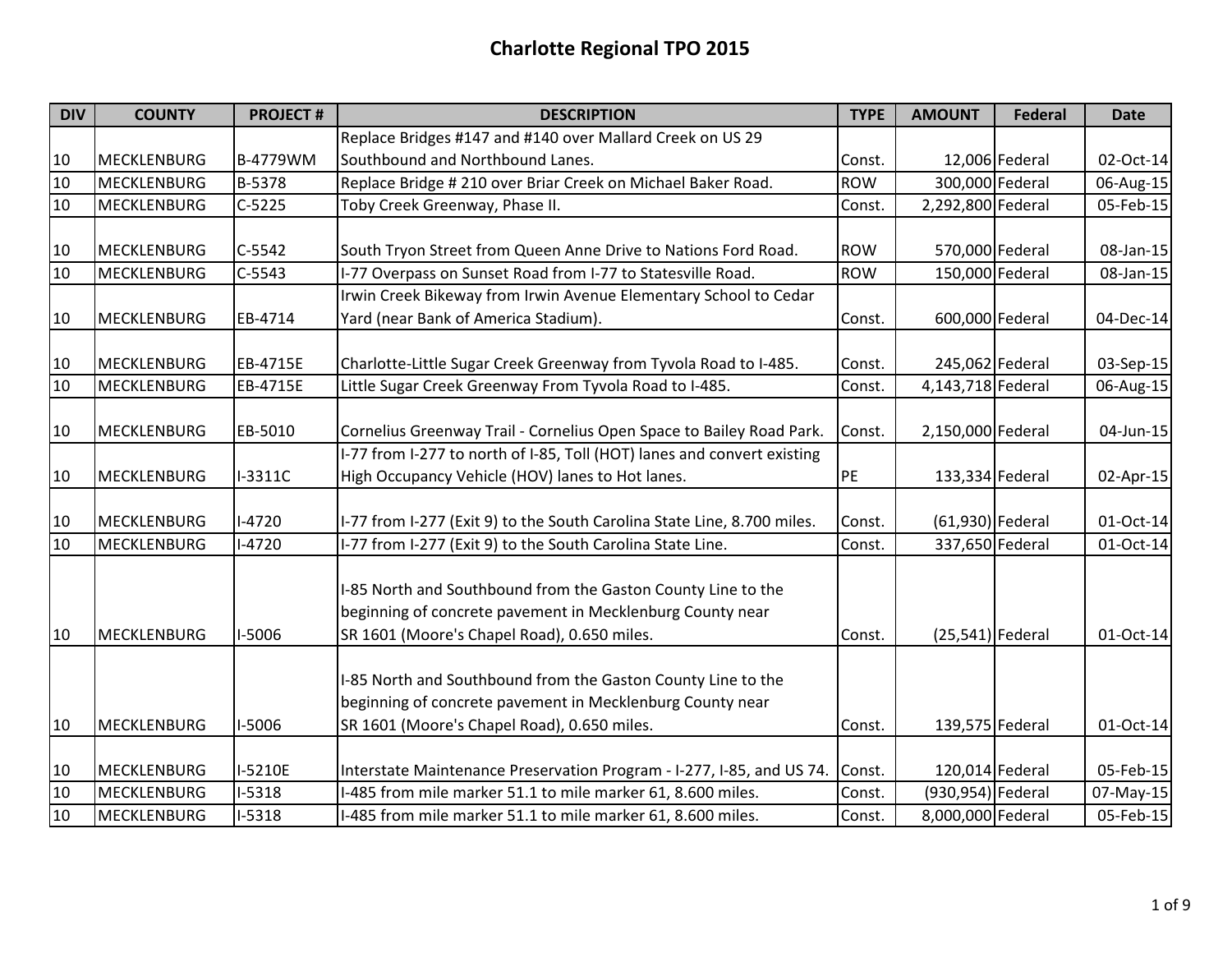| <b>DIV</b> | <b>COUNTY</b>      | <b>PROJECT#</b> | <b>DESCRIPTION</b>                                                                                                                                                      | <b>TYPE</b> | <b>AMOUNT</b>      | <b>Federal</b>  | <b>Date</b>  |
|------------|--------------------|-----------------|-------------------------------------------------------------------------------------------------------------------------------------------------------------------------|-------------|--------------------|-----------------|--------------|
|            |                    |                 | Replace Bridges #147 and #140 over Mallard Creek on US 29                                                                                                               |             |                    |                 |              |
| 10         | <b>MECKLENBURG</b> | B-4779WM        | Southbound and Northbound Lanes.                                                                                                                                        | Const.      |                    | 12,006 Federal  | 02-Oct-14    |
| 10         | <b>MECKLENBURG</b> | B-5378          | Replace Bridge # 210 over Briar Creek on Michael Baker Road.                                                                                                            | <b>ROW</b>  |                    | 300,000 Federal | 06-Aug-15    |
| 10         | MECKLENBURG        | $C-5225$        | Toby Creek Greenway, Phase II.                                                                                                                                          | Const.      | 2,292,800 Federal  |                 | 05-Feb-15    |
| 10         | <b>MECKLENBURG</b> | $C-5542$        | South Tryon Street from Queen Anne Drive to Nations Ford Road.                                                                                                          | <b>ROW</b>  |                    | 570,000 Federal | 08-Jan-15    |
| 10         | MECKLENBURG        | $C-5543$        | I-77 Overpass on Sunset Road from I-77 to Statesville Road.                                                                                                             | <b>ROW</b>  |                    | 150,000 Federal | 08-Jan-15    |
|            |                    |                 | Irwin Creek Bikeway from Irwin Avenue Elementary School to Cedar                                                                                                        |             |                    |                 |              |
| 10         | <b>MECKLENBURG</b> | EB-4714         | Yard (near Bank of America Stadium).                                                                                                                                    | Const.      |                    | 600,000 Federal | 04-Dec-14    |
| 10         | <b>MECKLENBURG</b> | EB-4715E        | Charlotte-Little Sugar Creek Greenway from Tyvola Road to I-485.                                                                                                        | Const.      |                    | 245,062 Federal | 03-Sep-15    |
| 10         | <b>MECKLENBURG</b> | EB-4715E        | Little Sugar Creek Greenway From Tyvola Road to I-485.                                                                                                                  | Const.      | 4,143,718 Federal  |                 | 06-Aug-15    |
| 10         | <b>MECKLENBURG</b> | EB-5010         | Cornelius Greenway Trail - Cornelius Open Space to Bailey Road Park.                                                                                                    | Const.      | 2,150,000 Federal  |                 | $04$ -Jun-15 |
|            |                    |                 | I-77 from I-277 to north of I-85, Toll (HOT) lanes and convert existing                                                                                                 |             |                    |                 |              |
| 10         | <b>MECKLENBURG</b> | I-3311C         | High Occupancy Vehicle (HOV) lanes to Hot lanes.                                                                                                                        | PE          |                    | 133,334 Federal | 02-Apr-15    |
| 10         | <b>MECKLENBURG</b> | $1 - 4720$      | I-77 from I-277 (Exit 9) to the South Carolina State Line, 8.700 miles.                                                                                                 | Const.      | $(61,930)$ Federal |                 | 01-Oct-14    |
| 10         | MECKLENBURG        | $-4720$         | -77 from I-277 (Exit 9) to the South Carolina State Line.                                                                                                               | Const.      |                    | 337,650 Federal | 01-Oct-14    |
| 10         | <b>MECKLENBURG</b> | I-5006          | -85 North and Southbound from the Gaston County Line to the<br>beginning of concrete pavement in Mecklenburg County near<br>SR 1601 (Moore's Chapel Road), 0.650 miles. | Const.      | $(25,541)$ Federal |                 | 01-Oct-14    |
|            |                    |                 | I-85 North and Southbound from the Gaston County Line to the<br>beginning of concrete pavement in Mecklenburg County near                                               |             |                    |                 |              |
| 10         | <b>MECKLENBURG</b> | I-5006          | SR 1601 (Moore's Chapel Road), 0.650 miles.                                                                                                                             | Const.      |                    | 139,575 Federal | 01-Oct-14    |
| 10         | <b>MECKLENBURG</b> | I-5210E         | Interstate Maintenance Preservation Program - I-277, I-85, and US 74.                                                                                                   | Const.      |                    | 120,014 Federal | 05-Feb-15    |
| 10         | MECKLENBURG        | $-5318$         | -485 from mile marker 51.1 to mile marker 61, 8.600 miles.                                                                                                              | Const.      | (930,954) Federal  |                 | 07-May-15    |
| 10         | MECKLENBURG        | $I-5318$        | -485 from mile marker 51.1 to mile marker 61, 8.600 miles.                                                                                                              | Const.      | 8,000,000 Federal  |                 | 05-Feb-15    |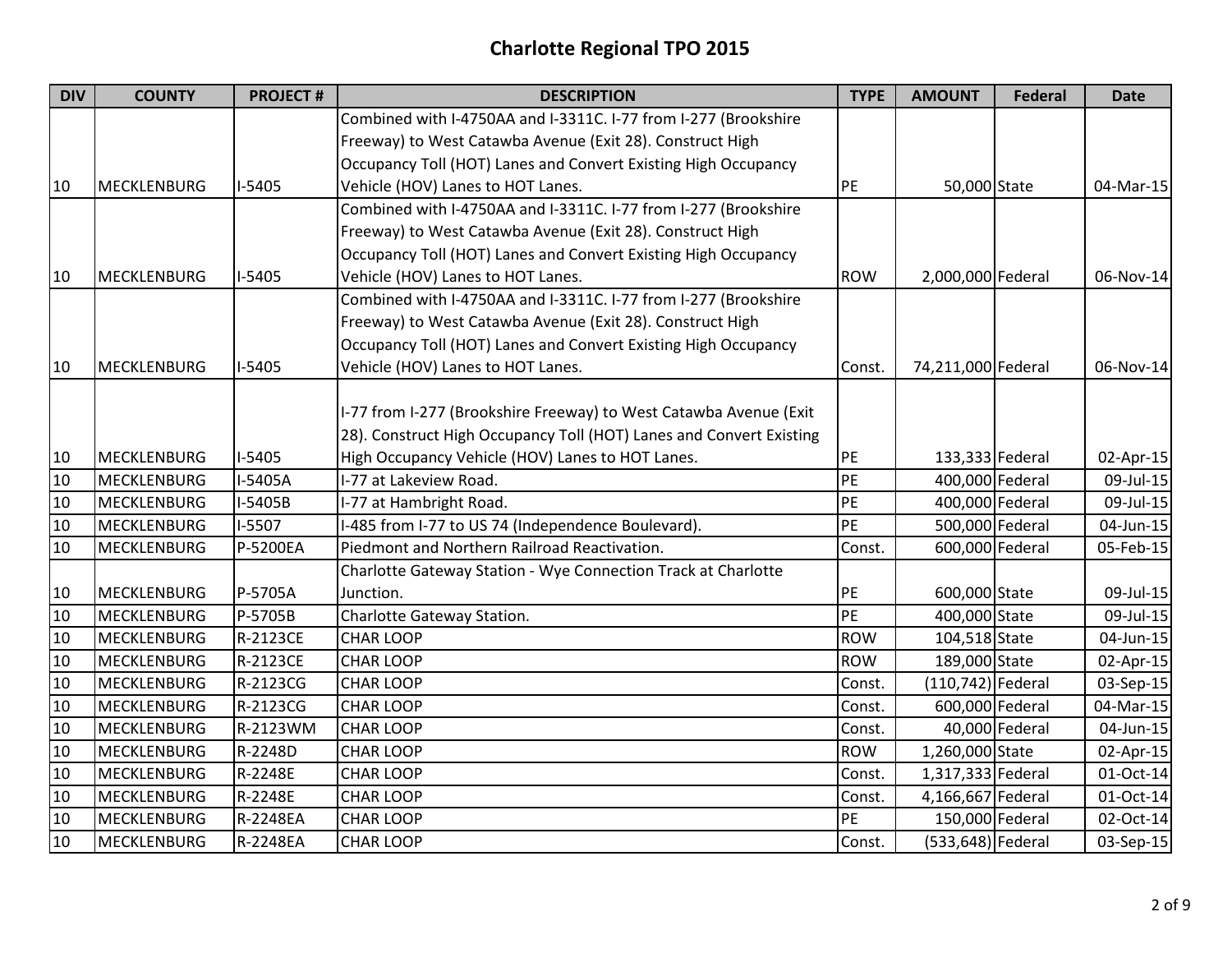| <b>DIV</b> | <b>COUNTY</b>      | <b>PROJECT#</b> | <b>DESCRIPTION</b>                                                  | <b>TYPE</b> | <b>AMOUNT</b>        | <b>Federal</b> | <b>Date</b> |
|------------|--------------------|-----------------|---------------------------------------------------------------------|-------------|----------------------|----------------|-------------|
|            |                    |                 | Combined with I-4750AA and I-3311C. I-77 from I-277 (Brookshire     |             |                      |                |             |
|            |                    |                 | Freeway) to West Catawba Avenue (Exit 28). Construct High           |             |                      |                |             |
|            |                    |                 | Occupancy Toll (HOT) Lanes and Convert Existing High Occupancy      |             |                      |                |             |
| 10         | <b>MECKLENBURG</b> | $I-5405$        | Vehicle (HOV) Lanes to HOT Lanes.                                   | PE          | 50,000 State         |                | 04-Mar-15   |
|            |                    |                 | Combined with I-4750AA and I-3311C. I-77 from I-277 (Brookshire     |             |                      |                |             |
|            |                    |                 | Freeway) to West Catawba Avenue (Exit 28). Construct High           |             |                      |                |             |
|            |                    |                 | Occupancy Toll (HOT) Lanes and Convert Existing High Occupancy      |             |                      |                |             |
| 10         | MECKLENBURG        | $I-5405$        | Vehicle (HOV) Lanes to HOT Lanes.                                   | <b>ROW</b>  | 2,000,000 Federal    |                | 06-Nov-14   |
|            |                    |                 | Combined with I-4750AA and I-3311C. I-77 from I-277 (Brookshire     |             |                      |                |             |
|            |                    |                 | Freeway) to West Catawba Avenue (Exit 28). Construct High           |             |                      |                |             |
|            |                    |                 | Occupancy Toll (HOT) Lanes and Convert Existing High Occupancy      |             |                      |                |             |
| 10         | <b>MECKLENBURG</b> | $I-5405$        | Vehicle (HOV) Lanes to HOT Lanes.                                   | Const.      | 74,211,000 Federal   |                | 06-Nov-14   |
|            |                    |                 |                                                                     |             |                      |                |             |
|            |                    |                 | I-77 from I-277 (Brookshire Freeway) to West Catawba Avenue (Exit   |             |                      |                |             |
|            |                    |                 | 28). Construct High Occupancy Toll (HOT) Lanes and Convert Existing |             |                      |                |             |
| 10         | <b>MECKLENBURG</b> | $I-5405$        | High Occupancy Vehicle (HOV) Lanes to HOT Lanes.                    | PE          | 133,333 Federal      |                | 02-Apr-15   |
| 10         | <b>MECKLENBURG</b> | I-5405A         | I-77 at Lakeview Road.                                              | PE          | 400,000 Federal      |                | 09-Jul-15   |
| 10         | <b>MECKLENBURG</b> | I-5405B         | I-77 at Hambright Road.                                             | PE          | 400,000 Federal      |                | 09-Jul-15   |
| 10         | MECKLENBURG        | I-5507          | I-485 from I-77 to US 74 (Independence Boulevard).                  | PE          | 500,000 Federal      |                | 04-Jun-15   |
| 10         | <b>MECKLENBURG</b> | P-5200EA        | Piedmont and Northern Railroad Reactivation.                        | Const.      | 600,000 Federal      |                | 05-Feb-15   |
|            |                    |                 | Charlotte Gateway Station - Wye Connection Track at Charlotte       |             |                      |                |             |
| 10         | <b>MECKLENBURG</b> | P-5705A         | Junction.                                                           | PE          | 600,000 State        |                | 09-Jul-15   |
| 10         | <b>MECKLENBURG</b> | P-5705B         | Charlotte Gateway Station.                                          | PE          | 400,000 State        |                | 09-Jul-15   |
| 10         | MECKLENBURG        | R-2123CE        | <b>CHAR LOOP</b>                                                    | <b>ROW</b>  | 104,518 State        |                | 04-Jun-15   |
| 10         | <b>MECKLENBURG</b> | R-2123CE        | <b>CHAR LOOP</b>                                                    | <b>ROW</b>  | 189,000 State        |                | 02-Apr-15   |
| 10         | <b>MECKLENBURG</b> | R-2123CG        | <b>CHAR LOOP</b>                                                    | Const.      | $(110, 742)$ Federal |                | 03-Sep-15   |
| 10         | <b>MECKLENBURG</b> | R-2123CG        | <b>CHAR LOOP</b>                                                    | Const.      | 600,000 Federal      |                | 04-Mar-15   |
| 10         | <b>MECKLENBURG</b> | R-2123WM        | <b>CHAR LOOP</b>                                                    | Const.      |                      | 40,000 Federal | 04-Jun-15   |
| 10         | MECKLENBURG        | R-2248D         | <b>CHAR LOOP</b>                                                    | <b>ROW</b>  | 1,260,000 State      |                | 02-Apr-15   |
| 10         | <b>MECKLENBURG</b> | R-2248E         | <b>CHAR LOOP</b>                                                    | Const.      | 1,317,333 Federal    |                | 01-Oct-14   |
| 10         | <b>MECKLENBURG</b> | R-2248E         | <b>CHAR LOOP</b>                                                    | Const.      | 4,166,667 Federal    |                | 01-Oct-14   |
| 10         | <b>MECKLENBURG</b> | R-2248EA        | <b>CHAR LOOP</b>                                                    | PE          | 150,000 Federal      |                | 02-Oct-14   |
| 10         | <b>MECKLENBURG</b> | R-2248EA        | <b>CHAR LOOP</b>                                                    | Const.      | (533,648) Federal    |                | 03-Sep-15   |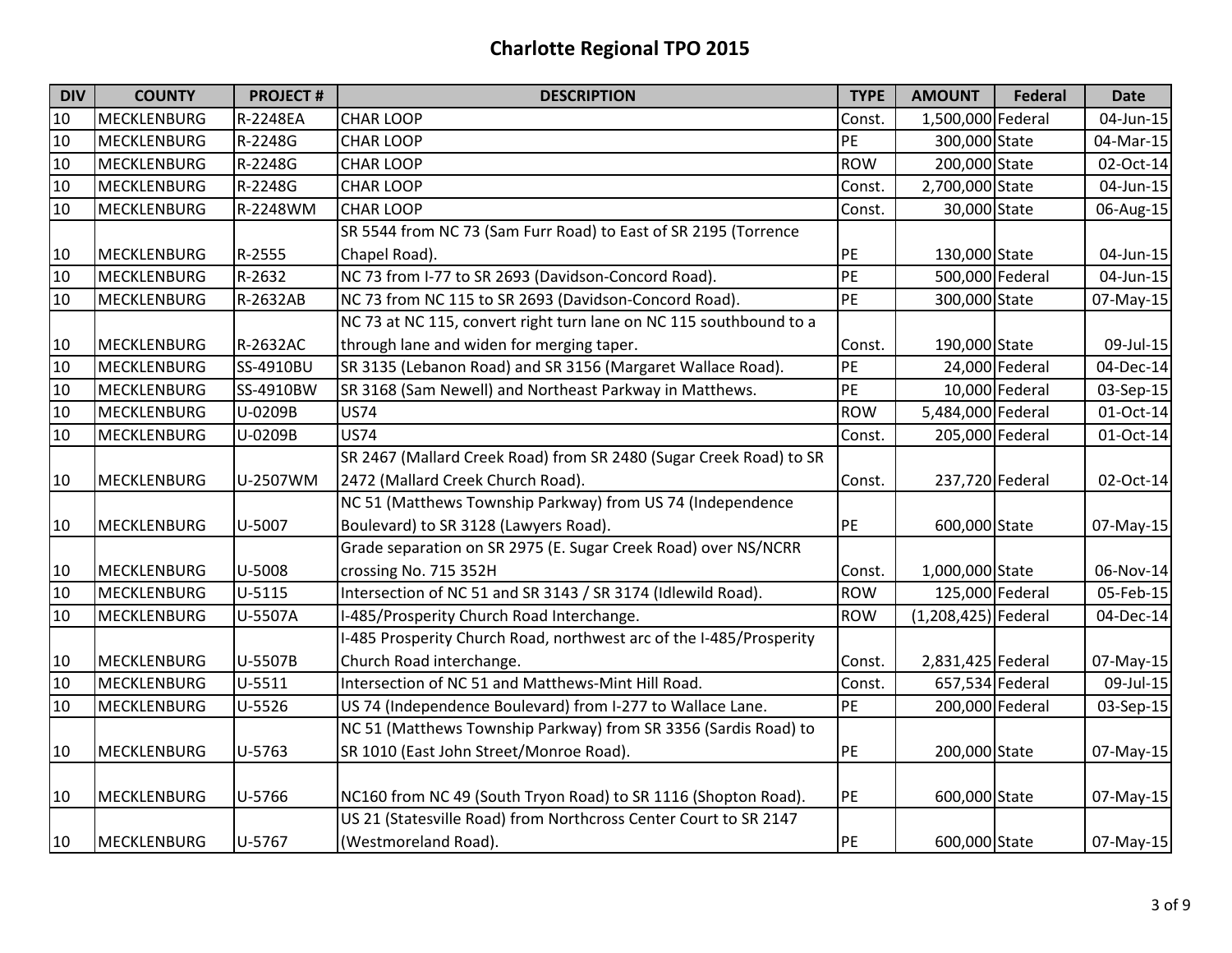| <b>DIV</b> | <b>COUNTY</b>      | <b>PROJECT#</b> | <b>DESCRIPTION</b>                                                 | <b>TYPE</b> | <b>AMOUNT</b>         | <b>Federal</b>  | <b>Date</b>  |
|------------|--------------------|-----------------|--------------------------------------------------------------------|-------------|-----------------------|-----------------|--------------|
| 10         | <b>MECKLENBURG</b> | R-2248EA        | <b>CHAR LOOP</b>                                                   | Const.      | 1,500,000 Federal     |                 | 04-Jun-15    |
| 10         | <b>MECKLENBURG</b> | R-2248G         | <b>CHAR LOOP</b>                                                   | PE          | 300,000 State         |                 | 04-Mar-15    |
| 10         | <b>MECKLENBURG</b> | R-2248G         | <b>CHAR LOOP</b>                                                   | <b>ROW</b>  | 200,000 State         |                 | 02-Oct-14    |
| 10         | <b>MECKLENBURG</b> | R-2248G         | <b>CHAR LOOP</b>                                                   | Const.      | 2,700,000 State       |                 | 04-Jun-15    |
| 10         | <b>MECKLENBURG</b> | R-2248WM        | <b>CHAR LOOP</b>                                                   | Const.      | 30,000 State          |                 | 06-Aug-15    |
|            |                    |                 | SR 5544 from NC 73 (Sam Furr Road) to East of SR 2195 (Torrence    |             |                       |                 |              |
| 10         | <b>MECKLENBURG</b> | R-2555          | Chapel Road).                                                      | PE          | 130,000 State         |                 | 04-Jun-15    |
| 10         | <b>MECKLENBURG</b> | R-2632          | NC 73 from I-77 to SR 2693 (Davidson-Concord Road).                | PE          |                       | 500,000 Federal | $04$ -Jun-15 |
| 10         | <b>MECKLENBURG</b> | R-2632AB        | NC 73 from NC 115 to SR 2693 (Davidson-Concord Road).              | PE          | 300,000 State         |                 | 07-May-15    |
|            |                    |                 | NC 73 at NC 115, convert right turn lane on NC 115 southbound to a |             |                       |                 |              |
| 10         | <b>MECKLENBURG</b> | R-2632AC        | through lane and widen for merging taper.                          | Const.      | 190,000 State         |                 | 09-Jul-15    |
| 10         | <b>MECKLENBURG</b> | SS-4910BU       | SR 3135 (Lebanon Road) and SR 3156 (Margaret Wallace Road).        | PE          |                       | 24,000 Federal  | 04-Dec-14    |
| 10         | <b>MECKLENBURG</b> | SS-4910BW       | SR 3168 (Sam Newell) and Northeast Parkway in Matthews.            | PE          |                       | 10,000 Federal  | 03-Sep-15    |
| 10         | <b>MECKLENBURG</b> | U-0209B         | <b>US74</b>                                                        | <b>ROW</b>  | 5,484,000 Federal     |                 | 01-Oct-14    |
| 10         | <b>MECKLENBURG</b> | U-0209B         | <b>US74</b>                                                        | Const.      |                       | 205,000 Federal | 01-Oct-14    |
|            |                    |                 | SR 2467 (Mallard Creek Road) from SR 2480 (Sugar Creek Road) to SR |             |                       |                 |              |
| 10         | MECKLENBURG        | U-2507WM        | 2472 (Mallard Creek Church Road).                                  | Const.      | 237,720 Federal       |                 | 02-Oct-14    |
|            |                    |                 | NC 51 (Matthews Township Parkway) from US 74 (Independence         |             |                       |                 |              |
| 10         | MECKLENBURG        | U-5007          | Boulevard) to SR 3128 (Lawyers Road).                              | PE          | 600,000 State         |                 | 07-May-15    |
|            |                    |                 | Grade separation on SR 2975 (E. Sugar Creek Road) over NS/NCRR     |             |                       |                 |              |
| 10         | MECKLENBURG        | U-5008          | crossing No. 715 352H                                              | Const.      | 1,000,000 State       |                 | 06-Nov-14    |
| 10         | MECKLENBURG        | $U - 5115$      | Intersection of NC 51 and SR 3143 / SR 3174 (Idlewild Road).       | <b>ROW</b>  | 125,000 Federal       |                 | 05-Feb-15    |
| 10         | <b>MECKLENBURG</b> | U-5507A         | I-485/Prosperity Church Road Interchange.                          | <b>ROW</b>  | $(1,208,425)$ Federal |                 | 04-Dec-14    |
|            |                    |                 | -485 Prosperity Church Road, northwest arc of the I-485/Prosperity |             |                       |                 |              |
| 10         | <b>MECKLENBURG</b> | U-5507B         | Church Road interchange.                                           | Const.      | 2,831,425 Federal     |                 | 07-May-15    |
| 10         | <b>MECKLENBURG</b> | $U-5511$        | Intersection of NC 51 and Matthews-Mint Hill Road.                 | Const.      |                       | 657,534 Federal | 09-Jul-15    |
| 10         | <b>MECKLENBURG</b> | U-5526          | US 74 (Independence Boulevard) from I-277 to Wallace Lane.         | PE          |                       | 200,000 Federal | 03-Sep-15    |
|            |                    |                 | NC 51 (Matthews Township Parkway) from SR 3356 (Sardis Road) to    |             |                       |                 |              |
| 10         | MECKLENBURG        | U-5763          | SR 1010 (East John Street/Monroe Road).                            | PE          | 200,000 State         |                 | 07-May-15    |
|            |                    |                 |                                                                    |             |                       |                 |              |
| 10         | <b>MECKLENBURG</b> | U-5766          | NC160 from NC 49 (South Tryon Road) to SR 1116 (Shopton Road).     | PE          | 600,000 State         |                 | 07-May-15    |
|            |                    |                 | US 21 (Statesville Road) from Northcross Center Court to SR 2147   |             |                       |                 |              |
| 10         | <b>MECKLENBURG</b> | U-5767          | (Westmoreland Road).                                               | PE          | 600,000 State         |                 | 07-May-15    |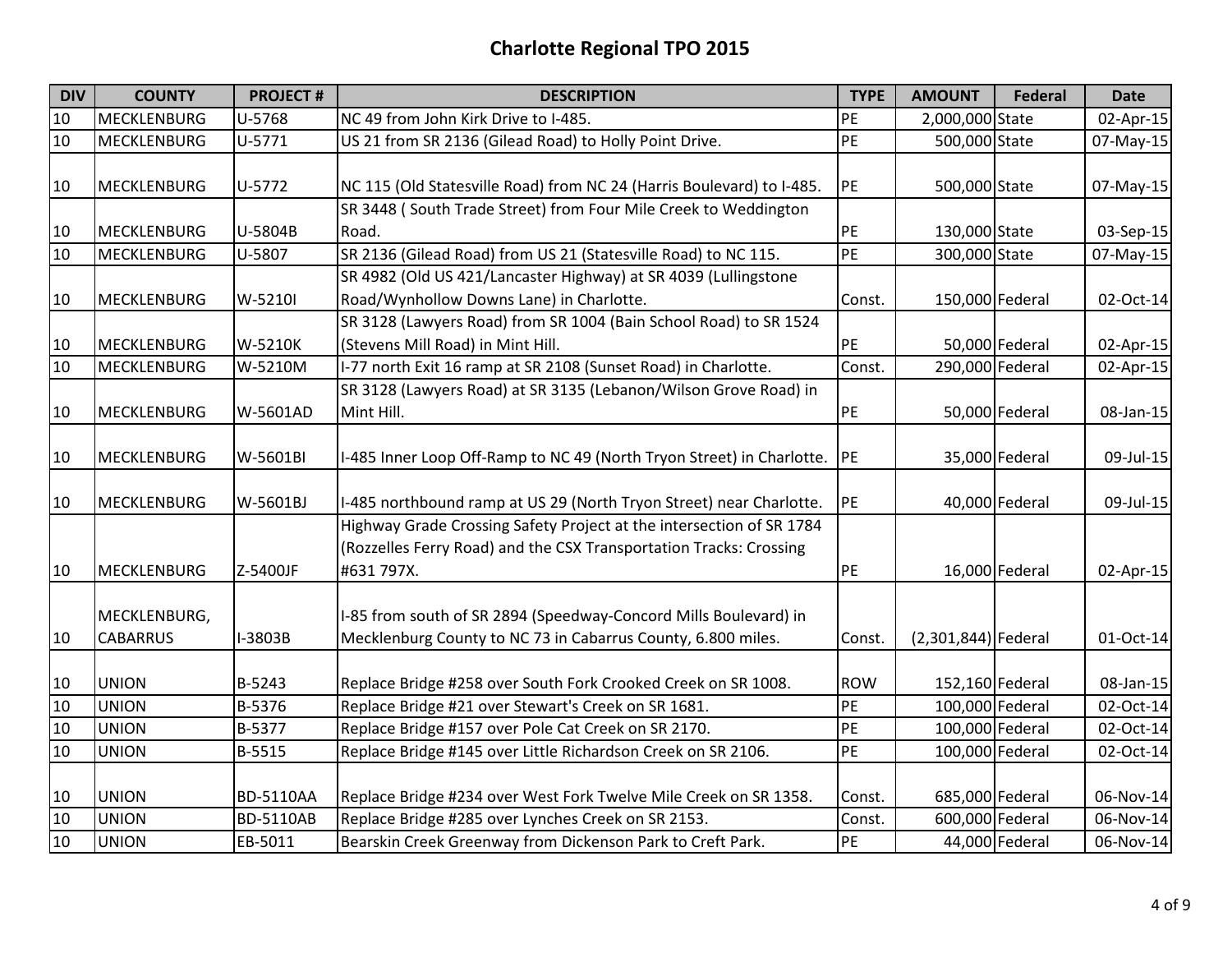| <b>DIV</b> | <b>COUNTY</b>      | <b>PROJECT#</b>  | <b>DESCRIPTION</b>                                                    | <b>TYPE</b> | <b>AMOUNT</b>       | <b>Federal</b> | <b>Date</b> |
|------------|--------------------|------------------|-----------------------------------------------------------------------|-------------|---------------------|----------------|-------------|
| 10         | <b>MECKLENBURG</b> | U-5768           | NC 49 from John Kirk Drive to I-485.                                  | PE          | 2,000,000 State     |                | 02-Apr-15   |
| 10         | <b>MECKLENBURG</b> | U-5771           | US 21 from SR 2136 (Gilead Road) to Holly Point Drive.                | PE          | 500,000 State       |                | 07-May-15   |
|            |                    |                  |                                                                       |             |                     |                |             |
| 10         | <b>MECKLENBURG</b> | U-5772           | NC 115 (Old Statesville Road) from NC 24 (Harris Boulevard) to I-485. | PE          | 500,000 State       |                | 07-May-15   |
|            |                    |                  | SR 3448 (South Trade Street) from Four Mile Creek to Weddington       |             |                     |                |             |
| 10         | <b>MECKLENBURG</b> | U-5804B          | Road.                                                                 | PE          | 130,000 State       |                | 03-Sep-15   |
| 10         | <b>MECKLENBURG</b> | U-5807           | SR 2136 (Gilead Road) from US 21 (Statesville Road) to NC 115.        | PE          | 300,000 State       |                | 07-May-15   |
|            |                    |                  | SR 4982 (Old US 421/Lancaster Highway) at SR 4039 (Lullingstone       |             |                     |                |             |
| 10         | <b>MECKLENBURG</b> | W-5210I          | Road/Wynhollow Downs Lane) in Charlotte.                              | Const.      | 150,000 Federal     |                | 02-Oct-14   |
|            |                    |                  | SR 3128 (Lawyers Road) from SR 1004 (Bain School Road) to SR 1524     |             |                     |                |             |
| 10         | <b>MECKLENBURG</b> | W-5210K          | (Stevens Mill Road) in Mint Hill.                                     | PE          |                     | 50,000 Federal | 02-Apr-15   |
| 10         | <b>MECKLENBURG</b> | W-5210M          | I-77 north Exit 16 ramp at SR 2108 (Sunset Road) in Charlotte.        | Const.      | 290,000 Federal     |                | 02-Apr-15   |
|            |                    |                  | SR 3128 (Lawyers Road) at SR 3135 (Lebanon/Wilson Grove Road) in      |             |                     |                |             |
| 10         | <b>MECKLENBURG</b> | W-5601AD         | Mint Hill.                                                            | PE          |                     | 50,000 Federal | 08-Jan-15   |
|            |                    |                  |                                                                       |             |                     |                |             |
| 10         | <b>MECKLENBURG</b> | W-5601BI         | I-485 Inner Loop Off-Ramp to NC 49 (North Tryon Street) in Charlotte. | <b>PE</b>   |                     | 35,000 Federal | 09-Jul-15   |
|            |                    |                  |                                                                       |             |                     |                |             |
| 10         | <b>MECKLENBURG</b> | W-5601BJ         | I-485 northbound ramp at US 29 (North Tryon Street) near Charlotte.   | PE          |                     | 40,000 Federal | 09-Jul-15   |
|            |                    |                  | Highway Grade Crossing Safety Project at the intersection of SR 1784  |             |                     |                |             |
|            |                    |                  | (Rozzelles Ferry Road) and the CSX Transportation Tracks: Crossing    |             |                     |                |             |
| 10         | <b>MECKLENBURG</b> | Z-5400JF         | #631 797X.                                                            | PE          |                     | 16,000 Federal | 02-Apr-15   |
|            |                    |                  |                                                                       |             |                     |                |             |
|            | MECKLENBURG,       |                  | I-85 from south of SR 2894 (Speedway-Concord Mills Boulevard) in      |             |                     |                |             |
| 10         | <b>CABARRUS</b>    | I-3803B          | Mecklenburg County to NC 73 in Cabarrus County, 6.800 miles.          | Const.      | (2,301,844) Federal |                | 01-Oct-14   |
|            |                    |                  |                                                                       |             |                     |                |             |
| 10         | <b>UNION</b>       | B-5243           | Replace Bridge #258 over South Fork Crooked Creek on SR 1008.         | <b>ROW</b>  | 152,160 Federal     |                | 08-Jan-15   |
| 10         | <b>UNION</b>       | B-5376           | Replace Bridge #21 over Stewart's Creek on SR 1681.                   | PE          | 100,000 Federal     |                | 02-Oct-14   |
| 10         | <b>UNION</b>       | B-5377           | Replace Bridge #157 over Pole Cat Creek on SR 2170.                   | PE          | 100,000 Federal     |                | 02-Oct-14   |
| 10         | <b>UNION</b>       | B-5515           | Replace Bridge #145 over Little Richardson Creek on SR 2106.          | PE          | 100,000 Federal     |                | 02-Oct-14   |
|            |                    |                  |                                                                       |             |                     |                |             |
| 10         | <b>UNION</b>       | <b>BD-5110AA</b> | Replace Bridge #234 over West Fork Twelve Mile Creek on SR 1358.      | Const.      | 685,000 Federal     |                | 06-Nov-14   |
| 10         | <b>UNION</b>       | <b>BD-5110AB</b> | Replace Bridge #285 over Lynches Creek on SR 2153.                    | Const.      | 600,000 Federal     |                | 06-Nov-14   |
| 10         | <b>UNION</b>       | EB-5011          | Bearskin Creek Greenway from Dickenson Park to Creft Park.            | PE          |                     | 44,000 Federal | 06-Nov-14   |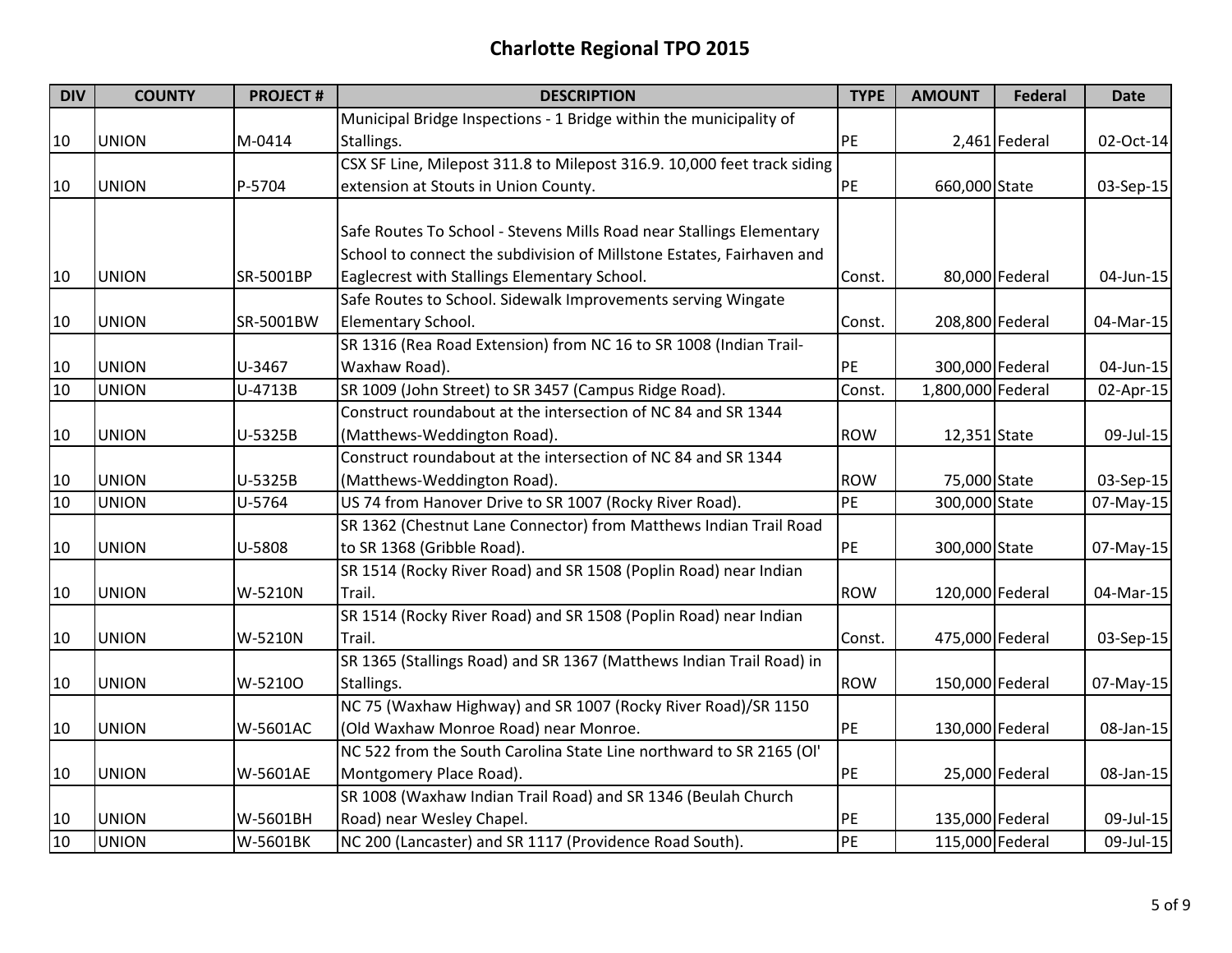| <b>DIV</b> | <b>COUNTY</b> | <b>PROJECT#</b> | <b>DESCRIPTION</b>                                                      | <b>TYPE</b> | <b>AMOUNT</b>     | <b>Federal</b> | Date      |
|------------|---------------|-----------------|-------------------------------------------------------------------------|-------------|-------------------|----------------|-----------|
|            |               |                 | Municipal Bridge Inspections - 1 Bridge within the municipality of      |             |                   |                |           |
| 10         | <b>UNION</b>  | M-0414          | Stallings.                                                              | PE          |                   | 2,461 Federal  | 02-Oct-14 |
|            |               |                 | CSX SF Line, Milepost 311.8 to Milepost 316.9. 10,000 feet track siding |             |                   |                |           |
| 10         | <b>UNION</b>  | P-5704          | extension at Stouts in Union County.                                    | PE          | 660,000 State     |                | 03-Sep-15 |
|            |               |                 |                                                                         |             |                   |                |           |
|            |               |                 | Safe Routes To School - Stevens Mills Road near Stallings Elementary    |             |                   |                |           |
|            |               |                 | School to connect the subdivision of Millstone Estates, Fairhaven and   |             |                   |                |           |
| 10         | <b>UNION</b>  | SR-5001BP       | Eaglecrest with Stallings Elementary School.                            | Const.      |                   | 80,000 Federal | 04-Jun-15 |
|            |               |                 | Safe Routes to School. Sidewalk Improvements serving Wingate            |             |                   |                |           |
| 10         | <b>UNION</b>  | SR-5001BW       | Elementary School.                                                      | Const.      | 208,800 Federal   |                | 04-Mar-15 |
|            |               |                 | SR 1316 (Rea Road Extension) from NC 16 to SR 1008 (Indian Trail-       |             |                   |                |           |
| 10         | <b>UNION</b>  | U-3467          | Waxhaw Road).                                                           | PE          | 300,000 Federal   |                | 04-Jun-15 |
| 10         | <b>UNION</b>  | U-4713B         | SR 1009 (John Street) to SR 3457 (Campus Ridge Road).                   | Const.      | 1,800,000 Federal |                | 02-Apr-15 |
|            |               |                 | Construct roundabout at the intersection of NC 84 and SR 1344           |             |                   |                |           |
| 10         | <b>UNION</b>  | U-5325B         | (Matthews-Weddington Road).                                             | <b>ROW</b>  | 12,351 State      |                | 09-Jul-15 |
|            |               |                 | Construct roundabout at the intersection of NC 84 and SR 1344           |             |                   |                |           |
| 10         | <b>UNION</b>  | U-5325B         | (Matthews-Weddington Road).                                             | <b>ROW</b>  | 75,000 State      |                | 03-Sep-15 |
| 10         | <b>UNION</b>  | U-5764          | US 74 from Hanover Drive to SR 1007 (Rocky River Road).                 | <b>PE</b>   | 300,000 State     |                | 07-May-15 |
|            |               |                 | SR 1362 (Chestnut Lane Connector) from Matthews Indian Trail Road       |             |                   |                |           |
| 10         | <b>UNION</b>  | U-5808          | to SR 1368 (Gribble Road).                                              | PE          | 300,000 State     |                | 07-May-15 |
|            |               |                 | SR 1514 (Rocky River Road) and SR 1508 (Poplin Road) near Indian        |             |                   |                |           |
| 10         | <b>UNION</b>  | W-5210N         | Trail.                                                                  | <b>ROW</b>  | 120,000 Federal   |                | 04-Mar-15 |
|            |               |                 | SR 1514 (Rocky River Road) and SR 1508 (Poplin Road) near Indian        |             |                   |                |           |
| 10         | <b>UNION</b>  | W-5210N         | Trail.                                                                  | Const.      | 475,000 Federal   |                | 03-Sep-15 |
|            |               |                 | SR 1365 (Stallings Road) and SR 1367 (Matthews Indian Trail Road) in    |             |                   |                |           |
| 10         | <b>UNION</b>  | W-52100         | Stallings.                                                              | <b>ROW</b>  | 150,000 Federal   |                | 07-May-15 |
|            |               |                 | NC 75 (Waxhaw Highway) and SR 1007 (Rocky River Road)/SR 1150           |             |                   |                |           |
| 10         | <b>UNION</b>  | W-5601AC        | (Old Waxhaw Monroe Road) near Monroe.                                   | PE          | 130,000 Federal   |                | 08-Jan-15 |
|            |               |                 | NC 522 from the South Carolina State Line northward to SR 2165 (OI'     |             |                   |                |           |
| 10         | <b>UNION</b>  | W-5601AE        | Montgomery Place Road).                                                 | PE          |                   | 25,000 Federal | 08-Jan-15 |
|            |               |                 | SR 1008 (Waxhaw Indian Trail Road) and SR 1346 (Beulah Church           |             |                   |                |           |
| 10         | <b>UNION</b>  | W-5601BH        | Road) near Wesley Chapel.                                               | PE          | 135,000 Federal   |                | 09-Jul-15 |
| 10         | <b>UNION</b>  | W-5601BK        | NC 200 (Lancaster) and SR 1117 (Providence Road South).                 | PE          | 115,000 Federal   |                | 09-Jul-15 |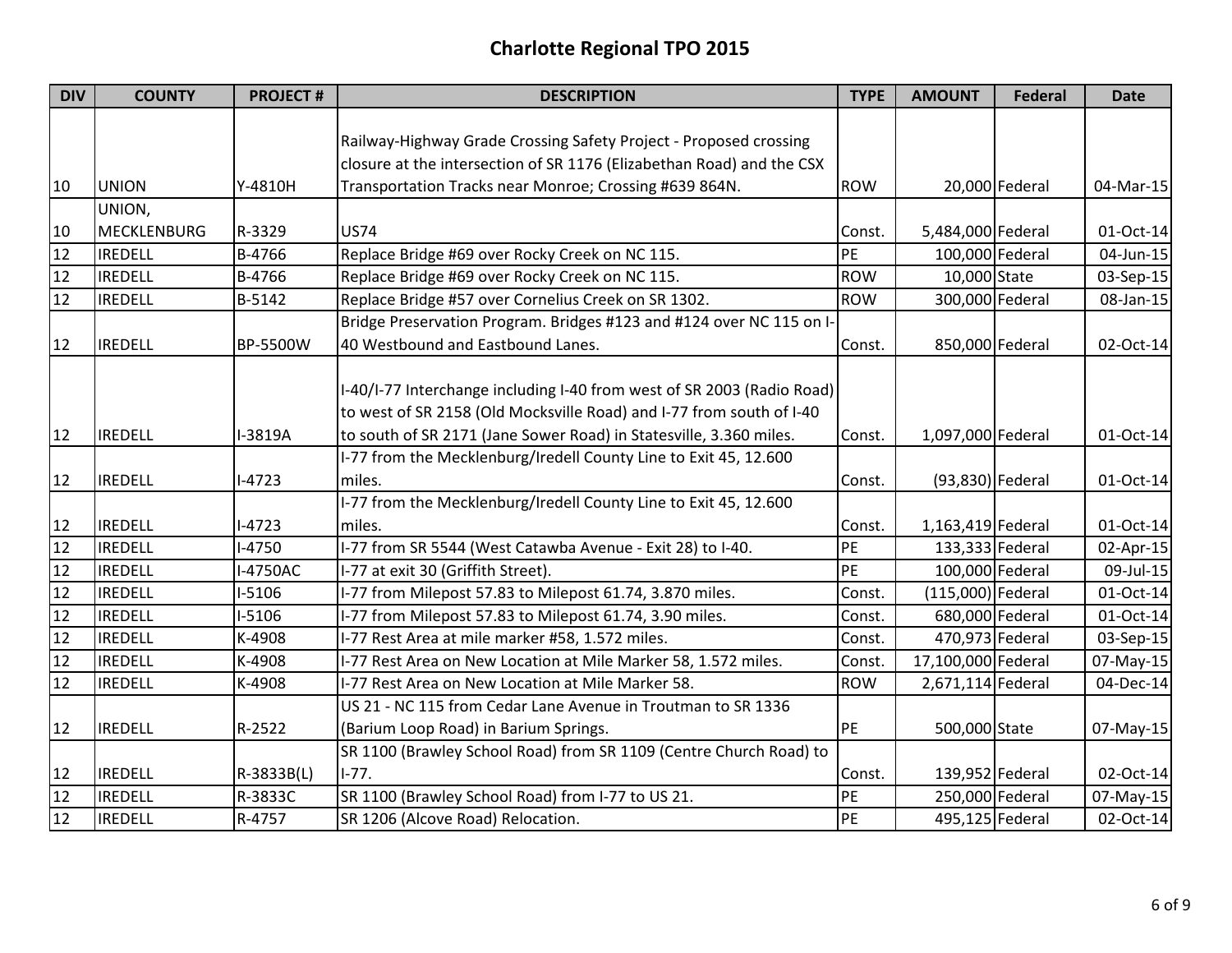| <b>DIV</b> | <b>COUNTY</b>      | <b>PROJECT#</b> | <b>DESCRIPTION</b>                                                     | <b>TYPE</b> | <b>AMOUNT</b>       | <b>Federal</b> | <b>Date</b>  |
|------------|--------------------|-----------------|------------------------------------------------------------------------|-------------|---------------------|----------------|--------------|
|            |                    |                 |                                                                        |             |                     |                |              |
|            |                    |                 | Railway-Highway Grade Crossing Safety Project - Proposed crossing      |             |                     |                |              |
|            |                    |                 | closure at the intersection of SR 1176 (Elizabethan Road) and the CSX  |             |                     |                |              |
| 10         | <b>UNION</b>       | Y-4810H         | Transportation Tracks near Monroe; Crossing #639 864N.                 | <b>ROW</b>  |                     | 20,000 Federal | 04-Mar-15    |
|            | UNION,             |                 |                                                                        |             |                     |                |              |
| 10         | <b>MECKLENBURG</b> | R-3329          | <b>US74</b>                                                            | Const.      | 5,484,000 Federal   |                | 01-Oct-14    |
| 12         | <b>IREDELL</b>     | B-4766          | Replace Bridge #69 over Rocky Creek on NC 115.                         | PE          | 100,000 Federal     |                | 04-Jun-15    |
| 12         | <b>IREDELL</b>     | B-4766          | Replace Bridge #69 over Rocky Creek on NC 115.                         | <b>ROW</b>  | 10,000 State        |                | 03-Sep-15    |
| 12         | <b>IREDELL</b>     | B-5142          | Replace Bridge #57 over Cornelius Creek on SR 1302.                    | <b>ROW</b>  | 300,000 Federal     |                | 08-Jan-15    |
|            |                    |                 | Bridge Preservation Program. Bridges #123 and #124 over NC 115 on I-   |             |                     |                |              |
| 12         | <b>IREDELL</b>     | BP-5500W        | 40 Westbound and Eastbound Lanes.                                      | Const.      | 850,000 Federal     |                | 02-Oct-14    |
|            |                    |                 |                                                                        |             |                     |                |              |
|            |                    |                 | I-40/I-77 Interchange including I-40 from west of SR 2003 (Radio Road) |             |                     |                |              |
|            |                    |                 | to west of SR 2158 (Old Mocksville Road) and I-77 from south of I-40   |             |                     |                |              |
| 12         | <b>IREDELL</b>     | I-3819A         | to south of SR 2171 (Jane Sower Road) in Statesville, 3.360 miles.     | Const.      | 1,097,000 Federal   |                | 01-Oct-14    |
|            |                    |                 | I-77 from the Mecklenburg/Iredell County Line to Exit 45, 12.600       |             |                     |                |              |
| 12         | <b>IREDELL</b>     | $1-4723$        | miles.                                                                 | Const.      | (93,830) Federal    |                | 01-Oct-14    |
|            |                    |                 | I-77 from the Mecklenburg/Iredell County Line to Exit 45, 12.600       |             |                     |                |              |
| 12         | <b>IREDELL</b>     | $-4723$         | miles.                                                                 | Const.      | 1,163,419 Federal   |                | 01-Oct-14    |
| 12         | <b>IREDELL</b>     | $1 - 4750$      | I-77 from SR 5544 (West Catawba Avenue - Exit 28) to I-40.             | PE          | 133,333 Federal     |                | $02$ -Apr-15 |
| 12         | <b>IREDELL</b>     | -4750AC         | I-77 at exit 30 (Griffith Street).                                     | PE          | 100,000 Federal     |                | 09-Jul-15    |
| 12         | <b>IREDELL</b>     | $-5106$         | I-77 from Milepost 57.83 to Milepost 61.74, 3.870 miles.               | Const.      | $(115,000)$ Federal |                | 01-Oct-14    |
| 12         | <b>IREDELL</b>     | $-5106$         | I-77 from Milepost 57.83 to Milepost 61.74, 3.90 miles.                | Const.      | 680,000 Federal     |                | 01-Oct-14    |
| 12         | <b>IREDELL</b>     | K-4908          | I-77 Rest Area at mile marker #58, 1.572 miles.                        | Const.      | 470,973 Federal     |                | 03-Sep-15    |
| 12         | <b>IREDELL</b>     | K-4908          | I-77 Rest Area on New Location at Mile Marker 58, 1.572 miles.         | Const.      | 17,100,000 Federal  |                | 07-May-15    |
| 12         | <b>IREDELL</b>     | K-4908          | I-77 Rest Area on New Location at Mile Marker 58.                      | <b>ROW</b>  | 2,671,114 Federal   |                | 04-Dec-14    |
|            |                    |                 | US 21 - NC 115 from Cedar Lane Avenue in Troutman to SR 1336           |             |                     |                |              |
| 12         | <b>IREDELL</b>     | R-2522          | (Barium Loop Road) in Barium Springs.                                  | PE          | 500,000 State       |                | 07-May-15    |
|            |                    |                 | SR 1100 (Brawley School Road) from SR 1109 (Centre Church Road) to     |             |                     |                |              |
| 12         | <b>IREDELL</b>     | R-3833B(L)      | $1-77.$                                                                | Const.      | 139,952 Federal     |                | 02-Oct-14    |
| 12         | <b>IREDELL</b>     | R-3833C         | SR 1100 (Brawley School Road) from I-77 to US 21.                      | PE          | 250,000 Federal     |                | 07-May-15    |
| 12         | <b>IREDELL</b>     | R-4757          | SR 1206 (Alcove Road) Relocation.                                      | PE          | 495,125 Federal     |                | 02-Oct-14    |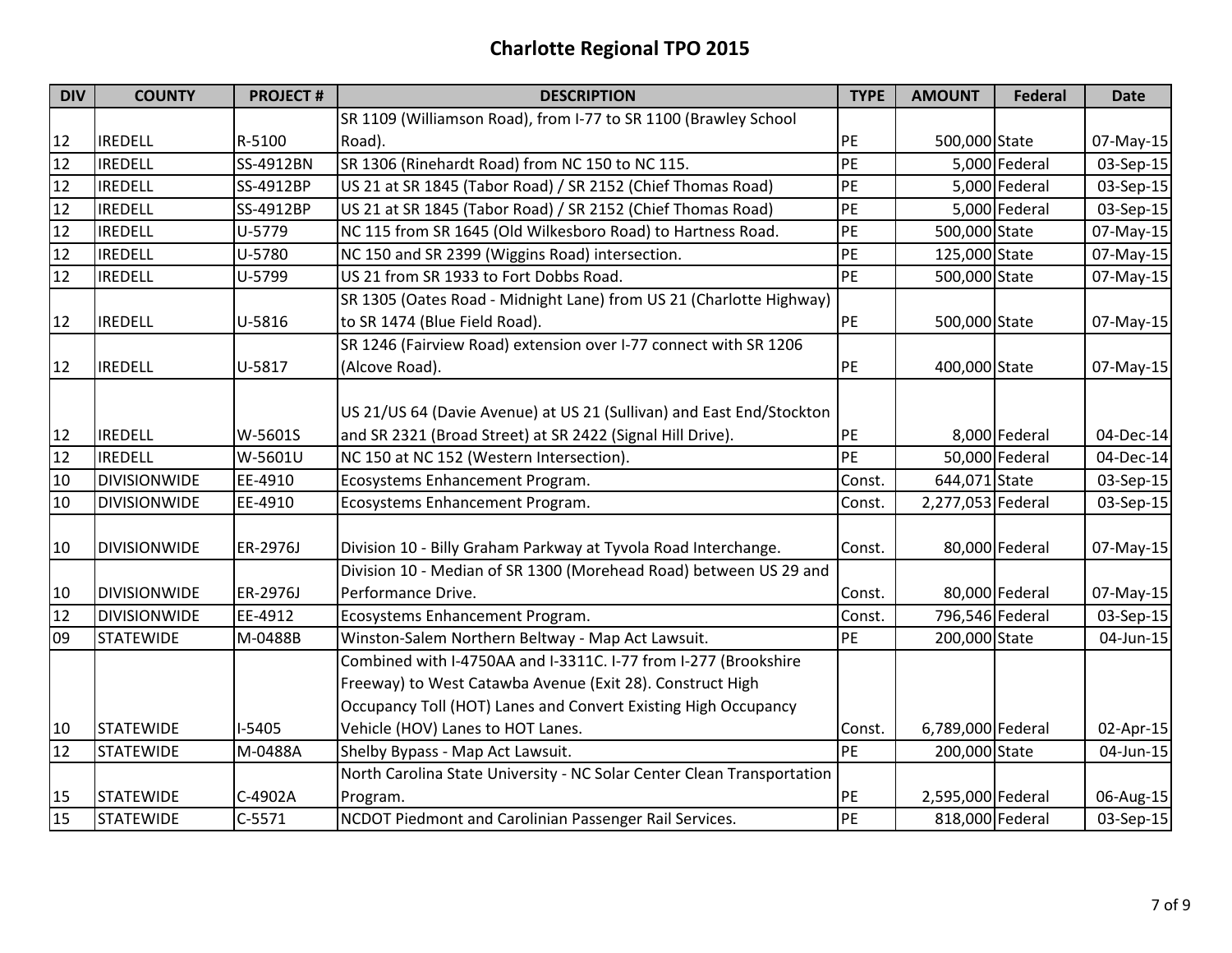| <b>DIV</b> | <b>COUNTY</b>       | <b>PROJECT#</b> | <b>DESCRIPTION</b>                                                     | <b>TYPE</b> | <b>AMOUNT</b>     | <b>Federal</b> | <b>Date</b> |
|------------|---------------------|-----------------|------------------------------------------------------------------------|-------------|-------------------|----------------|-------------|
|            |                     |                 | SR 1109 (Williamson Road), from I-77 to SR 1100 (Brawley School        |             |                   |                |             |
| 12         | <b>IREDELL</b>      | R-5100          | Road).                                                                 | PE          | 500,000 State     |                | 07-May-15   |
| 12         | <b>IREDELL</b>      | SS-4912BN       | SR 1306 (Rinehardt Road) from NC 150 to NC 115.                        | PE          |                   | 5,000 Federal  | 03-Sep-15   |
| 12         | <b>IREDELL</b>      | SS-4912BP       | US 21 at SR 1845 (Tabor Road) / SR 2152 (Chief Thomas Road)            | PE          |                   | 5,000 Federal  | 03-Sep-15   |
| 12         | <b>IREDELL</b>      | SS-4912BP       | US 21 at SR 1845 (Tabor Road) / SR 2152 (Chief Thomas Road)            | PE          |                   | 5,000 Federal  | $03-Sep-15$ |
| 12         | <b>IREDELL</b>      | U-5779          | NC 115 from SR 1645 (Old Wilkesboro Road) to Hartness Road.            | PE          | 500,000 State     |                | 07-May-15   |
| 12         | <b>IREDELL</b>      | U-5780          | NC 150 and SR 2399 (Wiggins Road) intersection.                        | PE          | 125,000 State     |                | 07-May-15   |
| 12         | <b>IREDELL</b>      | U-5799          | US 21 from SR 1933 to Fort Dobbs Road.                                 | PE          | 500,000 State     |                | 07-May-15   |
|            |                     |                 | SR 1305 (Oates Road - Midnight Lane) from US 21 (Charlotte Highway)    |             |                   |                |             |
| 12         | <b>IREDELL</b>      | U-5816          | to SR 1474 (Blue Field Road).                                          | PE          | 500,000 State     |                | 07-May-15   |
|            |                     |                 | SR 1246 (Fairview Road) extension over I-77 connect with SR 1206       |             |                   |                |             |
| 12         | <b>IREDELL</b>      | U-5817          | (Alcove Road).                                                         | PE          | 400,000 State     |                | 07-May-15   |
|            |                     |                 |                                                                        |             |                   |                |             |
|            |                     |                 | US 21/US 64 (Davie Avenue) at US 21 (Sullivan) and East End/Stockton   |             |                   |                |             |
| 12         | <b>IREDELL</b>      | W-5601S         | and SR 2321 (Broad Street) at SR 2422 (Signal Hill Drive).             | PE          |                   | 8,000 Federal  | 04-Dec-14   |
| 12         | <b>IREDELL</b>      | W-5601U         | NC 150 at NC 152 (Western Intersection).                               | PE          |                   | 50,000 Federal | 04-Dec-14   |
| 10         | <b>DIVISIONWIDE</b> | EE-4910         | Ecosystems Enhancement Program.                                        | Const.      | 644,071 State     |                | 03-Sep-15   |
| 10         | <b>DIVISIONWIDE</b> | EE-4910         | Ecosystems Enhancement Program.                                        | Const.      | 2,277,053 Federal |                | 03-Sep-15   |
| 10         | <b>DIVISIONWIDE</b> | ER-2976J        | Division 10 - Billy Graham Parkway at Tyvola Road Interchange.         | Const.      |                   | 80,000 Federal | 07-May-15   |
|            |                     |                 | Division 10 - Median of SR 1300 (Morehead Road) between US 29 and      |             |                   |                |             |
| 10         | <b>DIVISIONWIDE</b> | ER-2976J        | Performance Drive.                                                     | Const.      |                   | 80,000 Federal | 07-May-15   |
| 12         | <b>DIVISIONWIDE</b> | EE-4912         | Ecosystems Enhancement Program.                                        | Const.      | 796,546 Federal   |                | 03-Sep-15   |
| 09         | <b>STATEWIDE</b>    | M-0488B         | Winston-Salem Northern Beltway - Map Act Lawsuit.                      | PE          | 200,000 State     |                | 04-Jun-15   |
|            |                     |                 | Combined with I-4750AA and I-3311C. I-77 from I-277 (Brookshire        |             |                   |                |             |
|            |                     |                 | Freeway) to West Catawba Avenue (Exit 28). Construct High              |             |                   |                |             |
|            |                     |                 | Occupancy Toll (HOT) Lanes and Convert Existing High Occupancy         |             |                   |                |             |
| 10         | <b>STATEWIDE</b>    | $-5405$         | Vehicle (HOV) Lanes to HOT Lanes.                                      | Const.      | 6,789,000 Federal |                | 02-Apr-15   |
| 12         | <b>STATEWIDE</b>    | M-0488A         | Shelby Bypass - Map Act Lawsuit.                                       | PE          | 200,000 State     |                | 04-Jun-15   |
|            |                     |                 | North Carolina State University - NC Solar Center Clean Transportation |             |                   |                |             |
| 15         | <b>STATEWIDE</b>    | C-4902A         | Program.                                                               | PE          | 2,595,000 Federal |                | 06-Aug-15   |
| 15         | <b>STATEWIDE</b>    | $C-5571$        | NCDOT Piedmont and Carolinian Passenger Rail Services.                 | PE          | 818,000 Federal   |                | 03-Sep-15   |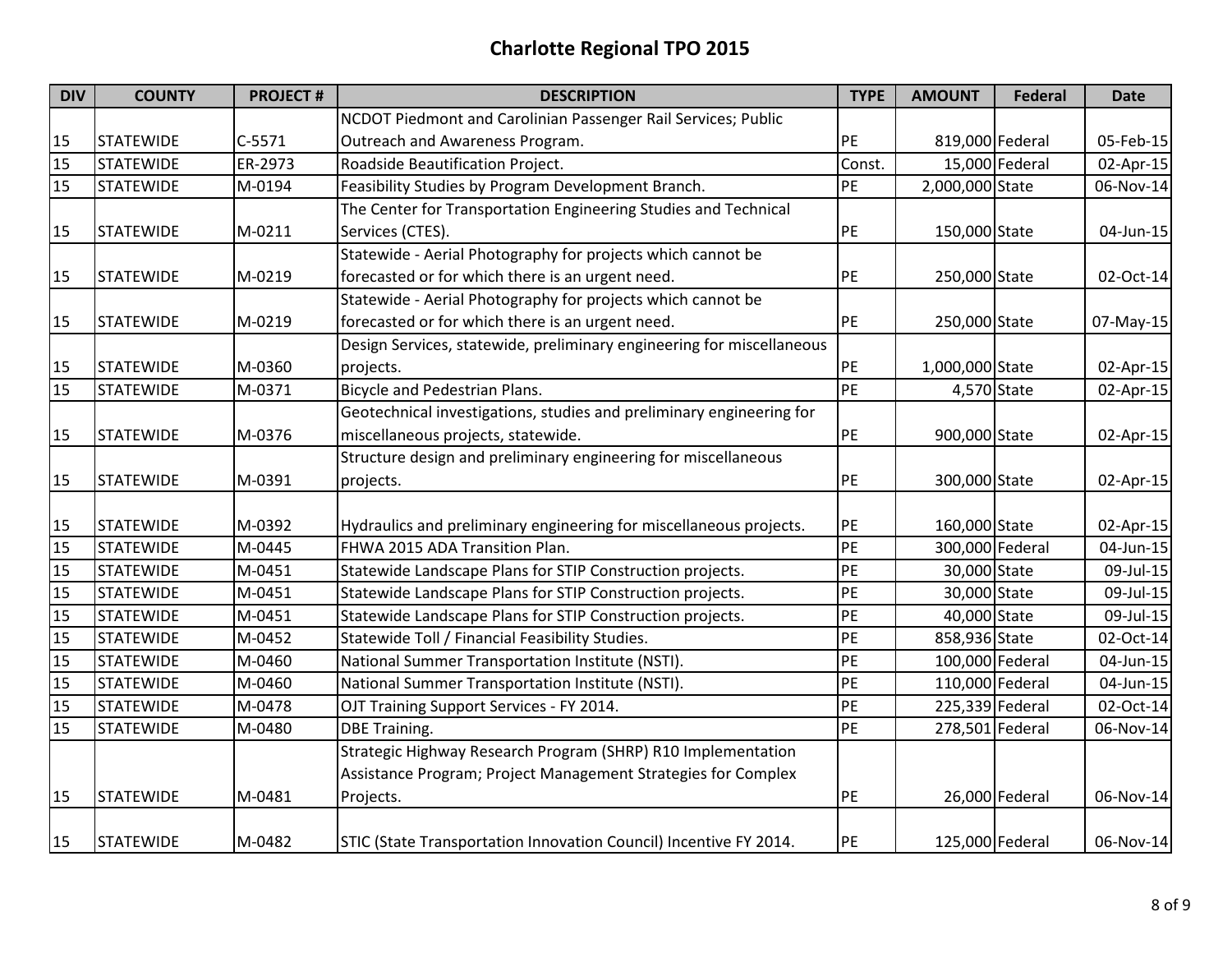| <b>DIV</b> | <b>COUNTY</b>    | <b>PROJECT#</b> | <b>DESCRIPTION</b>                                                    | <b>TYPE</b> | <b>AMOUNT</b>   | <b>Federal</b> | <b>Date</b> |
|------------|------------------|-----------------|-----------------------------------------------------------------------|-------------|-----------------|----------------|-------------|
|            |                  |                 | NCDOT Piedmont and Carolinian Passenger Rail Services; Public         |             |                 |                |             |
| 15         | <b>STATEWIDE</b> | $C-5571$        | Outreach and Awareness Program.                                       | PE          | 819,000 Federal |                | 05-Feb-15   |
| 15         | <b>STATEWIDE</b> | ER-2973         | Roadside Beautification Project.                                      | Const.      |                 | 15,000 Federal | 02-Apr-15   |
| 15         | <b>STATEWIDE</b> | M-0194          | Feasibility Studies by Program Development Branch.                    | PE          | 2,000,000 State |                | 06-Nov-14   |
|            |                  |                 | The Center for Transportation Engineering Studies and Technical       |             |                 |                |             |
| 15         | <b>STATEWIDE</b> | M-0211          | Services (CTES).                                                      | PE          | 150,000 State   |                | 04-Jun-15   |
|            |                  |                 | Statewide - Aerial Photography for projects which cannot be           |             |                 |                |             |
| 15         | <b>STATEWIDE</b> | M-0219          | forecasted or for which there is an urgent need.                      | PE          | 250,000 State   |                | 02-Oct-14   |
|            |                  |                 | Statewide - Aerial Photography for projects which cannot be           |             |                 |                |             |
| 15         | <b>STATEWIDE</b> | M-0219          | forecasted or for which there is an urgent need.                      | PE          | 250,000 State   |                | 07-May-15   |
|            |                  |                 | Design Services, statewide, preliminary engineering for miscellaneous |             |                 |                |             |
| 15         | <b>STATEWIDE</b> | M-0360          | projects.                                                             | PE          | 1,000,000 State |                | 02-Apr-15   |
| 15         | <b>STATEWIDE</b> | M-0371          | Bicycle and Pedestrian Plans.                                         | <b>PE</b>   | 4,570 State     |                | 02-Apr-15   |
|            |                  |                 | Geotechnical investigations, studies and preliminary engineering for  |             |                 |                |             |
| 15         | <b>STATEWIDE</b> | M-0376          | miscellaneous projects, statewide.                                    | PE          | 900,000 State   |                | 02-Apr-15   |
|            |                  |                 | Structure design and preliminary engineering for miscellaneous        |             |                 |                |             |
| 15         | <b>STATEWIDE</b> | M-0391          | projects.                                                             | PE          | 300,000 State   |                | 02-Apr-15   |
|            |                  |                 |                                                                       |             |                 |                |             |
| 15         | <b>STATEWIDE</b> | M-0392          | Hydraulics and preliminary engineering for miscellaneous projects.    | PE          | 160,000 State   |                | 02-Apr-15   |
| 15         | <b>STATEWIDE</b> | M-0445          | FHWA 2015 ADA Transition Plan.                                        | PE          | 300,000 Federal |                | 04-Jun-15   |
| 15         | <b>STATEWIDE</b> | M-0451          | Statewide Landscape Plans for STIP Construction projects.             | PE          | 30,000 State    |                | 09-Jul-15   |
| 15         | <b>STATEWIDE</b> | M-0451          | Statewide Landscape Plans for STIP Construction projects.             | PE          | 30,000 State    |                | 09-Jul-15   |
| 15         | <b>STATEWIDE</b> | M-0451          | Statewide Landscape Plans for STIP Construction projects.             | PE          | 40,000 State    |                | 09-Jul-15   |
| 15         | <b>STATEWIDE</b> | M-0452          | Statewide Toll / Financial Feasibility Studies.                       | PE          | 858,936 State   |                | 02-Oct-14   |
| 15         | <b>STATEWIDE</b> | M-0460          | National Summer Transportation Institute (NSTI).                      | PE          | 100,000 Federal |                | 04-Jun-15   |
| 15         | <b>STATEWIDE</b> | M-0460          | National Summer Transportation Institute (NSTI).                      | PE          | 110,000 Federal |                | 04-Jun-15   |
| 15         | <b>STATEWIDE</b> | M-0478          | OJT Training Support Services - FY 2014.                              | PE          | 225,339 Federal |                | 02-Oct-14   |
| 15         | <b>STATEWIDE</b> | M-0480          | <b>DBE Training.</b>                                                  | PE          | 278,501 Federal |                | 06-Nov-14   |
|            |                  |                 | Strategic Highway Research Program (SHRP) R10 Implementation          |             |                 |                |             |
|            |                  |                 | Assistance Program; Project Management Strategies for Complex         |             |                 |                |             |
| 15         | <b>STATEWIDE</b> | M-0481          | Projects.                                                             | PE          |                 | 26,000 Federal | 06-Nov-14   |
| 15         | <b>STATEWIDE</b> | M-0482          | STIC (State Transportation Innovation Council) Incentive FY 2014.     | PE          | 125,000 Federal |                | 06-Nov-14   |